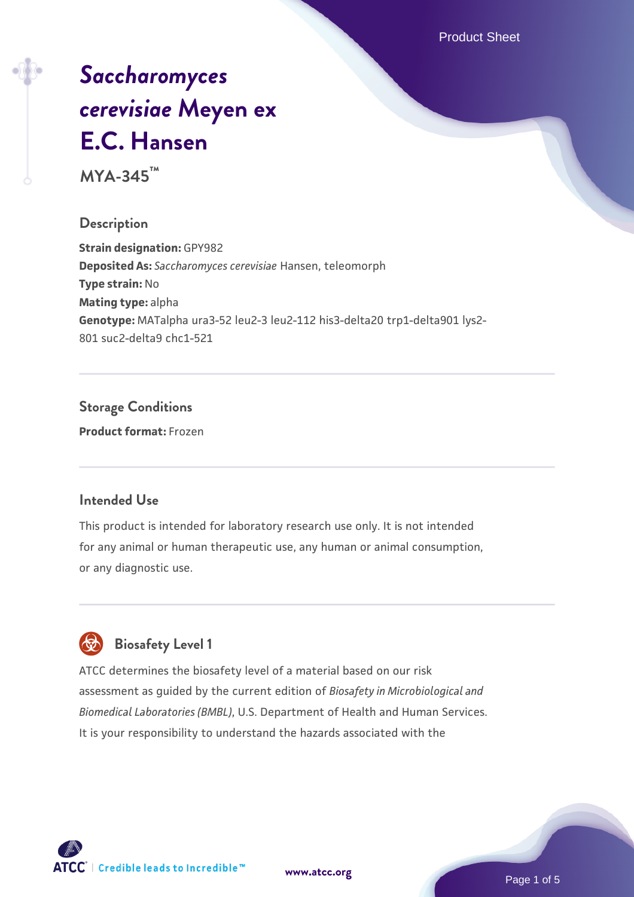Product Sheet

# *[Saccharomyces](https://www.atcc.org/products/mya-345) [cerevisiae](https://www.atcc.org/products/mya-345)* **[Meyen ex](https://www.atcc.org/products/mya-345) [E.C. Hansen](https://www.atcc.org/products/mya-345)**

**MYA-345™**

### **Description**

**Strain designation:** GPY982 **Deposited As:** *Saccharomyces cerevisiae* Hansen, teleomorph **Type strain:** No **Mating type:** alpha **Genotype:** MATalpha ura3-52 leu2-3 leu2-112 his3-delta20 trp1-delta901 lys2- 801 suc2-delta9 chc1-521

# **Storage Conditions**

**Product format:** Frozen

### **Intended Use**

This product is intended for laboratory research use only. It is not intended for any animal or human therapeutic use, any human or animal consumption, or any diagnostic use.



### **Biosafety Level 1**

ATCC determines the biosafety level of a material based on our risk assessment as guided by the current edition of *Biosafety in Microbiological and Biomedical Laboratories (BMBL)*, U.S. Department of Health and Human Services. It is your responsibility to understand the hazards associated with the

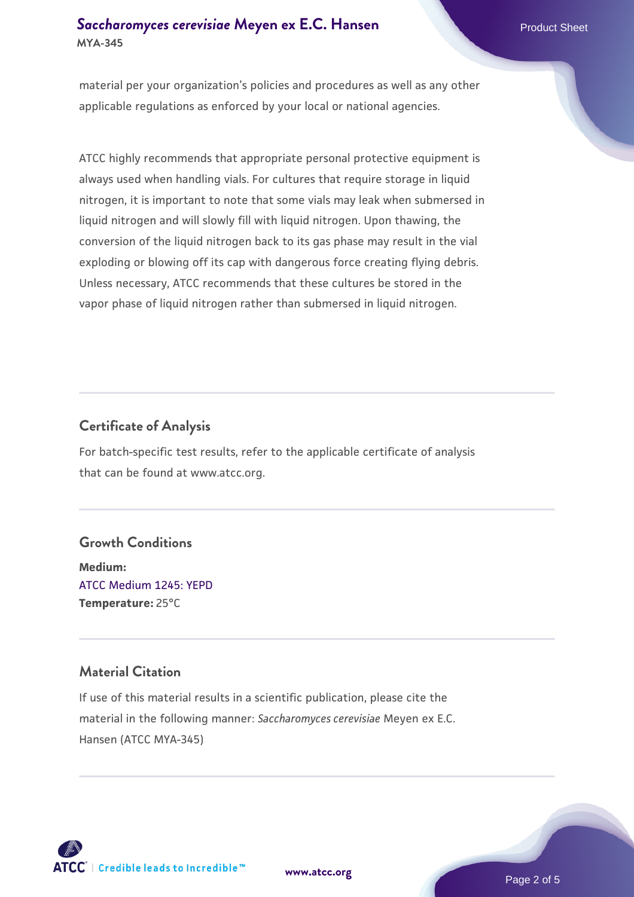### **[Saccharomyces cerevisiae](https://www.atcc.org/products/mya-345)** [Meyen ex E.C. Hansen](https://www.atcc.org/products/mya-345) **MYA-345**

material per your organization's policies and procedures as well as any other applicable regulations as enforced by your local or national agencies.

ATCC highly recommends that appropriate personal protective equipment is always used when handling vials. For cultures that require storage in liquid nitrogen, it is important to note that some vials may leak when submersed in liquid nitrogen and will slowly fill with liquid nitrogen. Upon thawing, the conversion of the liquid nitrogen back to its gas phase may result in the vial exploding or blowing off its cap with dangerous force creating flying debris. Unless necessary, ATCC recommends that these cultures be stored in the vapor phase of liquid nitrogen rather than submersed in liquid nitrogen.

### **Certificate of Analysis**

For batch-specific test results, refer to the applicable certificate of analysis that can be found at www.atcc.org.

### **Growth Conditions**

**Medium:**  [ATCC Medium 1245: YEPD](https://www.atcc.org/-/media/product-assets/documents/microbial-media-formulations/1/2/4/5/atcc-medium-1245.pdf?rev=705ca55d1b6f490a808a965d5c072196) **Temperature:** 25°C

### **Material Citation**

If use of this material results in a scientific publication, please cite the material in the following manner: *Saccharomyces cerevisiae* Meyen ex E.C. Hansen (ATCC MYA-345)



**[www.atcc.org](http://www.atcc.org)**

Page 2 of 5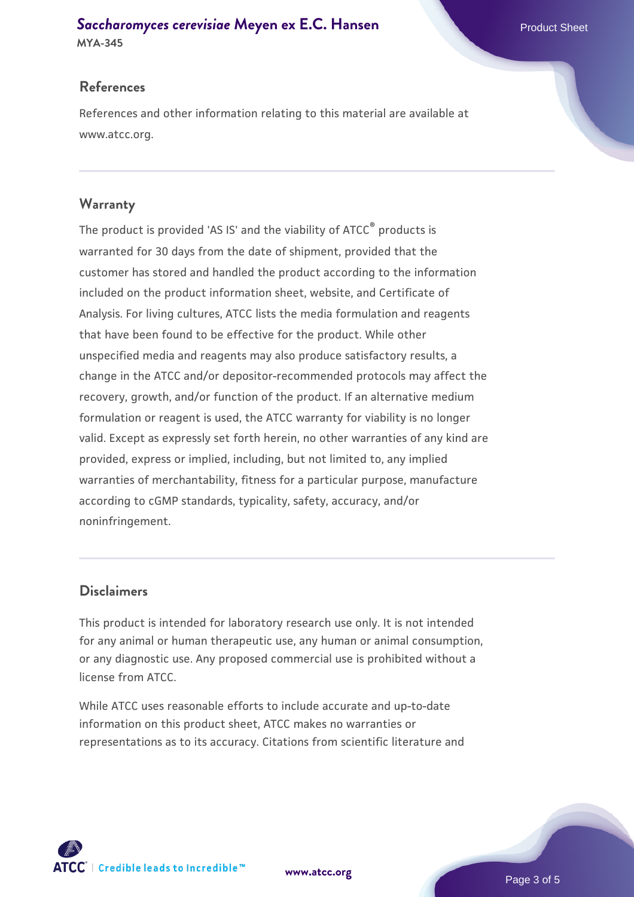# **[Saccharomyces cerevisiae](https://www.atcc.org/products/mya-345)** [Meyen ex E.C. Hansen](https://www.atcc.org/products/mya-345)

**MYA-345**

### **References**

References and other information relating to this material are available at www.atcc.org.

### **Warranty**

The product is provided 'AS IS' and the viability of ATCC® products is warranted for 30 days from the date of shipment, provided that the customer has stored and handled the product according to the information included on the product information sheet, website, and Certificate of Analysis. For living cultures, ATCC lists the media formulation and reagents that have been found to be effective for the product. While other unspecified media and reagents may also produce satisfactory results, a change in the ATCC and/or depositor-recommended protocols may affect the recovery, growth, and/or function of the product. If an alternative medium formulation or reagent is used, the ATCC warranty for viability is no longer valid. Except as expressly set forth herein, no other warranties of any kind are provided, express or implied, including, but not limited to, any implied warranties of merchantability, fitness for a particular purpose, manufacture according to cGMP standards, typicality, safety, accuracy, and/or noninfringement.

### **Disclaimers**

This product is intended for laboratory research use only. It is not intended for any animal or human therapeutic use, any human or animal consumption, or any diagnostic use. Any proposed commercial use is prohibited without a license from ATCC.

While ATCC uses reasonable efforts to include accurate and up-to-date information on this product sheet, ATCC makes no warranties or representations as to its accuracy. Citations from scientific literature and

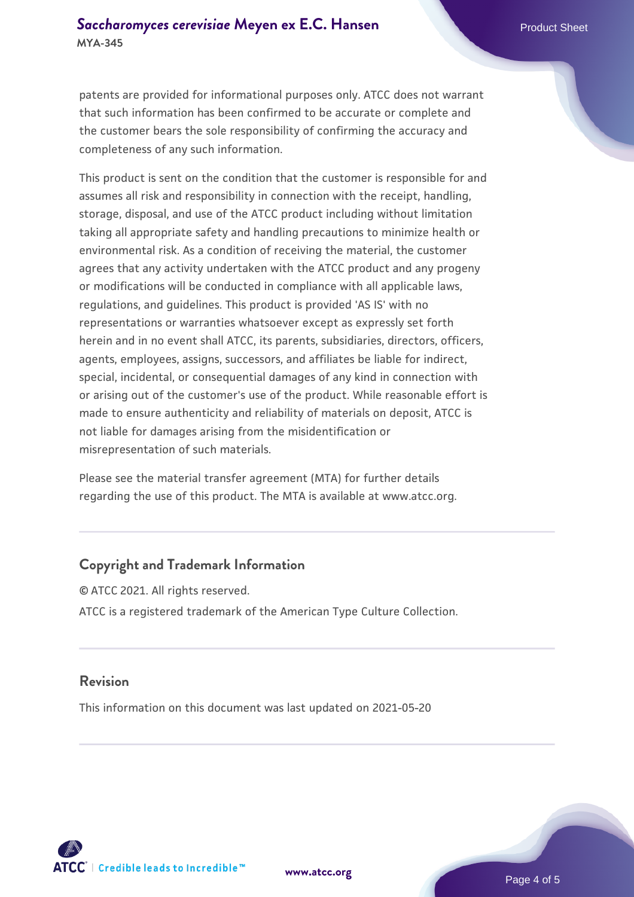patents are provided for informational purposes only. ATCC does not warrant that such information has been confirmed to be accurate or complete and the customer bears the sole responsibility of confirming the accuracy and completeness of any such information.

This product is sent on the condition that the customer is responsible for and assumes all risk and responsibility in connection with the receipt, handling, storage, disposal, and use of the ATCC product including without limitation taking all appropriate safety and handling precautions to minimize health or environmental risk. As a condition of receiving the material, the customer agrees that any activity undertaken with the ATCC product and any progeny or modifications will be conducted in compliance with all applicable laws, regulations, and guidelines. This product is provided 'AS IS' with no representations or warranties whatsoever except as expressly set forth herein and in no event shall ATCC, its parents, subsidiaries, directors, officers, agents, employees, assigns, successors, and affiliates be liable for indirect, special, incidental, or consequential damages of any kind in connection with or arising out of the customer's use of the product. While reasonable effort is made to ensure authenticity and reliability of materials on deposit, ATCC is not liable for damages arising from the misidentification or misrepresentation of such materials.

Please see the material transfer agreement (MTA) for further details regarding the use of this product. The MTA is available at www.atcc.org.

### **Copyright and Trademark Information**

© ATCC 2021. All rights reserved. ATCC is a registered trademark of the American Type Culture Collection.

#### **Revision**

This information on this document was last updated on 2021-05-20



**[www.atcc.org](http://www.atcc.org)**